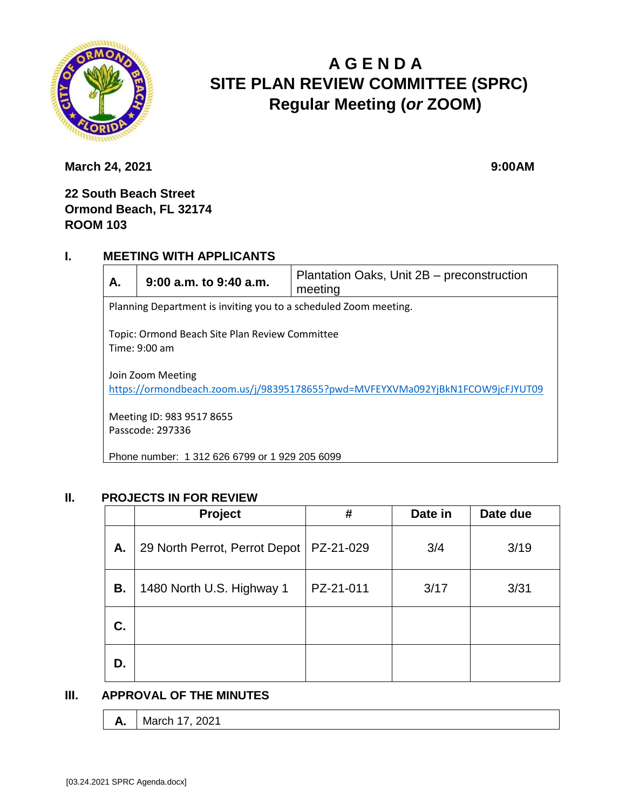

# **A G E N D A SITE PLAN REVIEW COMMITTEE (SPRC) Regular Meeting (***or* **ZOOM)**

**March 24, 2021** 9:00AM

## **22 South Beach Street Ormond Beach, FL 32174 ROOM 103**

### **I. MEETING WITH APPLICANTS**

| А.                                                                                                  | $9:00$ a.m. to $9:40$ a.m. | Plantation Oaks, Unit 2B - preconstruction<br>meeting |  |  |
|-----------------------------------------------------------------------------------------------------|----------------------------|-------------------------------------------------------|--|--|
| Planning Department is inviting you to a scheduled Zoom meeting.                                    |                            |                                                       |  |  |
| Topic: Ormond Beach Site Plan Review Committee<br>Time: $9:00$ am                                   |                            |                                                       |  |  |
| Join Zoom Meeting<br>https://ormondbeach.zoom.us/j/98395178655?pwd=MVFEYXVMa092YjBkN1FCOW9jcFJYUT09 |                            |                                                       |  |  |
| Meeting ID: 983 9517 8655<br>Passcode: 297336                                                       |                            |                                                       |  |  |
| Phone number: 1 312 626 6799 or 1 929 205 6099                                                      |                            |                                                       |  |  |

### **II. PROJECTS IN FOR REVIEW**

|    | Project                       | #         | Date in | Date due |
|----|-------------------------------|-----------|---------|----------|
| А. | 29 North Perrot, Perrot Depot | PZ-21-029 | 3/4     | 3/19     |
| В. | 1480 North U.S. Highway 1     | PZ-21-011 | 3/17    | 3/31     |
| C. |                               |           |         |          |
| D. |                               |           |         |          |

#### **III. APPROVAL OF THE MINUTES**

| <b>A.</b>   March 17, 2021 |
|----------------------------|
|                            |